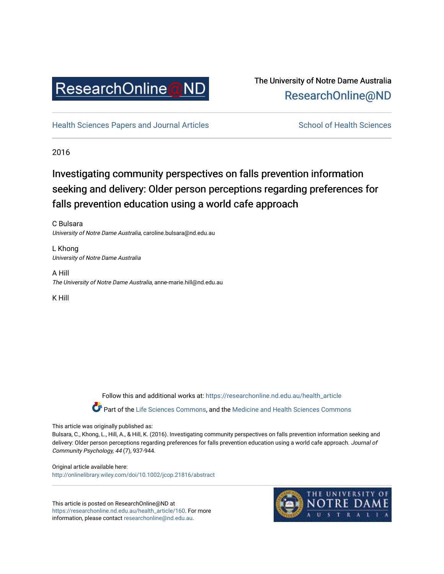

## The University of Notre Dame Australia [ResearchOnline@ND](https://researchonline.nd.edu.au/)

[Health Sciences Papers and Journal Articles](https://researchonline.nd.edu.au/health_article) School of Health Sciences

2016

# Investigating community perspectives on falls prevention information seeking and delivery: Older person perceptions regarding preferences for falls prevention education using a world cafe approach

C Bulsara University of Notre Dame Australia, caroline.bulsara@nd.edu.au

L Khong University of Notre Dame Australia

A Hill The University of Notre Dame Australia, anne-marie.hill@nd.edu.au

K Hill

Follow this and additional works at: [https://researchonline.nd.edu.au/health\\_article](https://researchonline.nd.edu.au/health_article?utm_source=researchonline.nd.edu.au%2Fhealth_article%2F160&utm_medium=PDF&utm_campaign=PDFCoverPages)

Part of the [Life Sciences Commons](http://network.bepress.com/hgg/discipline/1016?utm_source=researchonline.nd.edu.au%2Fhealth_article%2F160&utm_medium=PDF&utm_campaign=PDFCoverPages), and the Medicine and Health Sciences Commons

This article was originally published as:

Bulsara, C., Khong, L., Hill, A., & Hill, K. (2016). Investigating community perspectives on falls prevention information seeking and delivery: Older person perceptions regarding preferences for falls prevention education using a world cafe approach. Journal of Community Psychology, 44 (7), 937-944.

Original article available here: <http://onlinelibrary.wiley.com/doi/10.1002/jcop.21816/abstract>

This article is posted on ResearchOnline@ND at [https://researchonline.nd.edu.au/health\\_article/160](https://researchonline.nd.edu.au/health_article/160). For more information, please contact [researchonline@nd.edu.au.](mailto:researchonline@nd.edu.au)

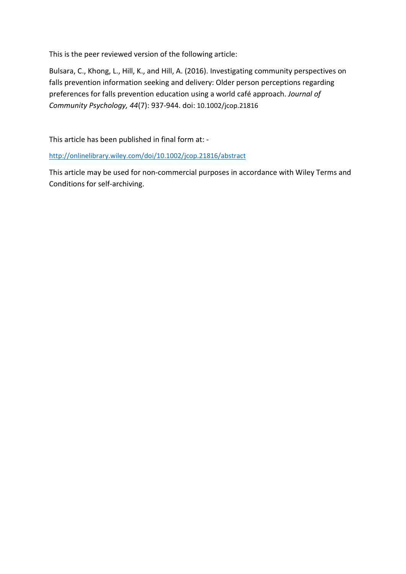This is the peer reviewed version of the following article:

Bulsara, C., Khong, L., Hill, K., and Hill, A. (2016). Investigating community perspectives on falls prevention information seeking and delivery: Older person perceptions regarding preferences for falls prevention education using a world café approach. *Journal of Community Psychology, 44*(7): 937-944. doi: 10.1002/jcop.21816

This article has been published in final form at: -

<http://onlinelibrary.wiley.com/doi/10.1002/jcop.21816/abstract>

This article may be used for non-commercial purposes in accordance with Wiley Terms and Conditions for self-archiving.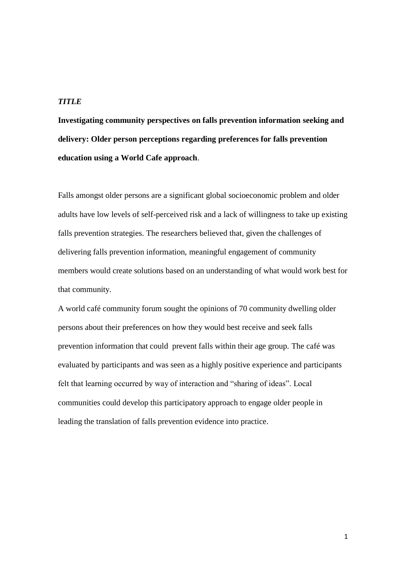## *TITLE*

**Investigating community perspectives on falls prevention information seeking and delivery: Older person perceptions regarding preferences for falls prevention education using a World Cafe approach**.

Falls amongst older persons are a significant global socioeconomic problem and older adults have low levels of self-perceived risk and a lack of willingness to take up existing falls prevention strategies. The researchers believed that, given the challenges of delivering falls prevention information, meaningful engagement of community members would create solutions based on an understanding of what would work best for that community.

A world café community forum sought the opinions of 70 community dwelling older persons about their preferences on how they would best receive and seek falls prevention information that could prevent falls within their age group. The café was evaluated by participants and was seen as a highly positive experience and participants felt that learning occurred by way of interaction and "sharing of ideas". Local communities could develop this participatory approach to engage older people in leading the translation of falls prevention evidence into practice.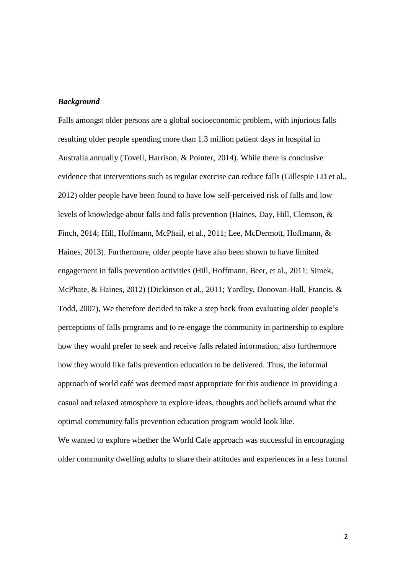#### *Background*

Falls amongst older persons are a global socioeconomic problem, with injurious falls resulting older people spending more than 1.3 million patient days in hospital in Australia annually (Tovell, Harrison, & Pointer, 2014). While there is conclusive evidence that interventions such as regular exercise can reduce falls (Gillespie LD et al., 2012) older people have been found to have low self-perceived risk of falls and low levels of knowledge about falls and falls prevention (Haines, Day, Hill, Clemson, & Finch, 2014; Hill, Hoffmann, McPhail, et al., 2011; Lee, McDermott, Hoffmann, & Haines, 2013). Furthermore, older people have also been shown to have limited engagement in falls prevention activities (Hill, Hoffmann, Beer, et al., 2011; Simek, McPhate, & Haines, 2012) (Dickinson et al., 2011; Yardley, Donovan-Hall, Francis, & Todd, 2007), We therefore decided to take a step back from evaluating older people's perceptions of falls programs and to re-engage the community in partnership to explore how they would prefer to seek and receive falls related information, also furthermore how they would like falls prevention education to be delivered. Thus, the informal approach of world café was deemed most appropriate for this audience in providing a casual and relaxed atmosphere to explore ideas, thoughts and beliefs around what the optimal community falls prevention education program would look like.

We wanted to explore whether the World Cafe approach was successful in encouraging older community dwelling adults to share their attitudes and experiences in a less formal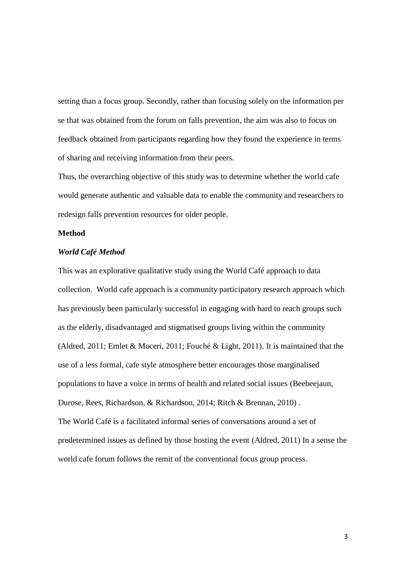setting than a focus group. Secondly, rather than focusing solely on the information per se that was obtained from the forum on falls prevention, the aim was also to focus on feedback obtained from participants regarding how they found the experience in terms of sharing and receiving information from their peers.

Thus, the overarching objective of this study was to determine whether the world cafe would generate authentic and valuable data to enable the community and researchers to redesign falls prevention resources for older people.

#### **Method**

#### *World Café Method*

This was an explorative qualitative study using the World Café approach to data collection. World cafe approach is a community participatory research approach which has previously been particularly successful in engaging with hard to reach groups such as the elderly, disadvantaged and stigmatised groups living within the community (Aldred, 2011; Emlet & Moceri, 2011; Fouché & Light, 2011). It is maintained that the use of a less formal, cafe style atmosphere better encourages those marginalised populations to have a voice in terms of health and related social issues (Beebeejaun, Durose, Rees, Richardson, & Richardson, 2014; Ritch & Brennan, 2010) . The World Café is a facilitated informal series of conversations around a set of predetermined issues as defined by those hosting the event (Aldred, 2011) In a sense the world cafe forum follows the remit of the conventional focus group process.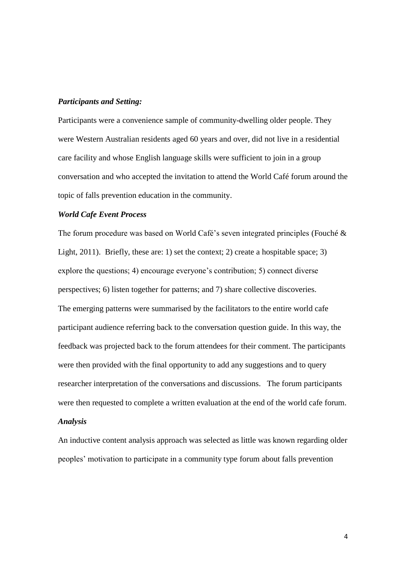#### *Participants and Setting:*

Participants were a convenience sample of community-dwelling older people. They were Western Australian residents aged 60 years and over, did not live in a residential care facility and whose English language skills were sufficient to join in a group conversation and who accepted the invitation to attend the World Café forum around the topic of falls prevention education in the community.

#### *World Cafe Event Process*

The forum procedure was based on World Café's seven integrated principles (Fouché & Light, 2011). Briefly, these are: 1) set the context; 2) create a hospitable space; 3) explore the questions; 4) encourage everyone's contribution; 5) connect diverse perspectives; 6) listen together for patterns; and 7) share collective discoveries. The emerging patterns were summarised by the facilitators to the entire world cafe participant audience referring back to the conversation question guide. In this way, the feedback was projected back to the forum attendees for their comment. The participants were then provided with the final opportunity to add any suggestions and to query researcher interpretation of the conversations and discussions. The forum participants were then requested to complete a written evaluation at the end of the world cafe forum.

## *Analysis*

An inductive content analysis approach was selected as little was known regarding older peoples' motivation to participate in a community type forum about falls prevention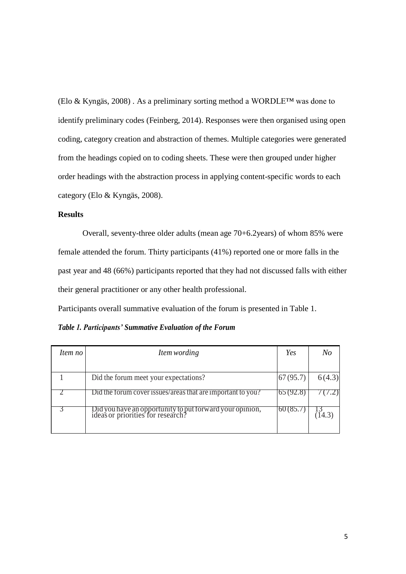(Elo & Kyngäs, 2008) . As a preliminary sorting method a WORDLE™ was done to identify preliminary codes (Feinberg, 2014). Responses were then organised using open coding, category creation and abstraction of themes. Multiple categories were generated from the headings copied on to coding sheets. These were then grouped under higher order headings with the abstraction process in applying content-specific words to each category (Elo & Kyngäs, 2008).

## **Results**

Overall, seventy-three older adults (mean age 70+6.2years) of whom 85% were female attended the forum. Thirty participants (41%) reported one or more falls in the past year and 48 (66%) participants reported that they had not discussed falls with either their general practitioner or any other health professional.

Participants overall summative evaluation of the forum is presented in Table 1.

*Table 1. Participants' Summative Evaluation of the Forum*

| Item no | Item wording                                                                                  | Yes      | No     |
|---------|-----------------------------------------------------------------------------------------------|----------|--------|
|         |                                                                                               |          |        |
|         | Did the forum meet your expectations?                                                         | 67(95.7) | 6(4.3) |
|         | Did the forum cover issues/areas that are important to you?                                   | 02(92.8) |        |
|         | Did you have an opportunity to put forward your opinion,<br>ideas or priorities for research? | 00(0.01) |        |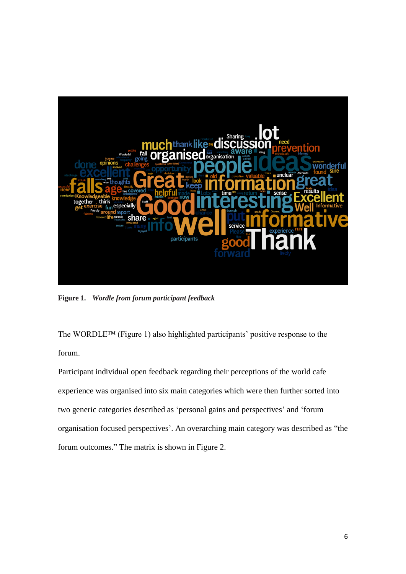

**Figure 1.** *Wordle from forum participant feedback*

The WORDLE™ (Figure 1) also highlighted participants' positive response to the forum.

Participant individual open feedback regarding their perceptions of the world cafe experience was organised into six main categories which were then further sorted into two generic categories described as 'personal gains and perspectives' and 'forum organisation focused perspectives'. An overarching main category was described as "the forum outcomes." The matrix is shown in Figure 2.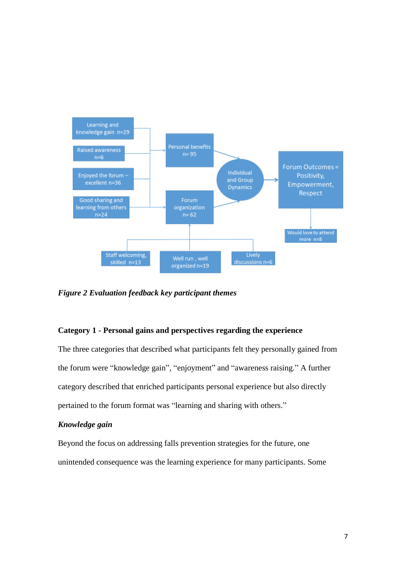

*Figure 2 Evaluation feedback key participant themes*

## **Category 1 - Personal gains and perspectives regarding the experience**

The three categories that described what participants felt they personally gained from the forum were "knowledge gain", "enjoyment" and "awareness raising." A further category described that enriched participants personal experience but also directly pertained to the forum format was "learning and sharing with others."

## *Knowledge gain*

Beyond the focus on addressing falls prevention strategies for the future, one unintended consequence was the learning experience for many participants. Some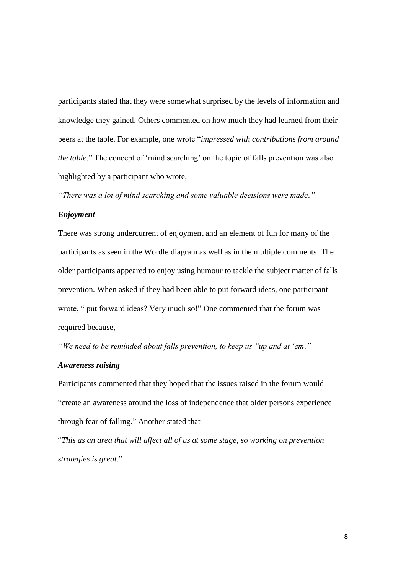participants stated that they were somewhat surprised by the levels of information and knowledge they gained. Others commented on how much they had learned from their peers at the table. For example, one wrote "*impressed with contributions from around the table*." The concept of 'mind searching' on the topic of falls prevention was also highlighted by a participant who wrote,

*"There was a lot of mind searching and some valuable decisions were made."*

#### *Enjoyment*

There was strong undercurrent of enjoyment and an element of fun for many of the participants as seen in the Wordle diagram as well as in the multiple comments. The older participants appeared to enjoy using humour to tackle the subject matter of falls prevention. When asked if they had been able to put forward ideas, one participant wrote, " put forward ideas? Very much so!" One commented that the forum was required because,

*"We need to be reminded about falls prevention, to keep us "up and at 'em."*

#### *Awareness raising*

Participants commented that they hoped that the issues raised in the forum would "create an awareness around the loss of independence that older persons experience through fear of falling." Another stated that

"*This as an area that will affect all of us at some stage, so working on prevention strategies is great*."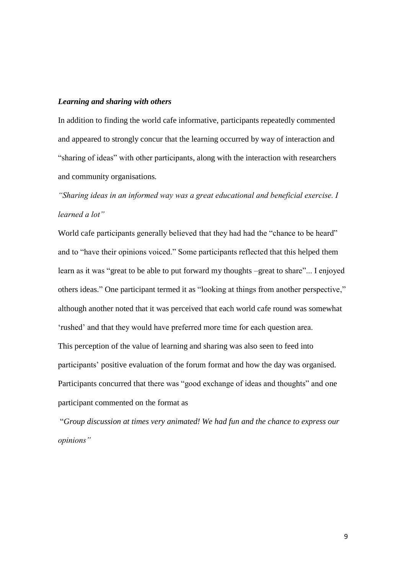#### *Learning and sharing with others*

In addition to finding the world cafe informative, participants repeatedly commented and appeared to strongly concur that the learning occurred by way of interaction and "sharing of ideas" with other participants, along with the interaction with researchers and community organisations.

*"Sharing ideas in an informed way was a great educational and beneficial exercise. I learned a lot"*

World cafe participants generally believed that they had had the "chance to be heard" and to "have their opinions voiced." Some participants reflected that this helped them learn as it was "great to be able to put forward my thoughts –great to share"... I enjoyed others ideas." One participant termed it as "looking at things from another perspective," although another noted that it was perceived that each world cafe round was somewhat 'rushed' and that they would have preferred more time for each question area. This perception of the value of learning and sharing was also seen to feed into participants' positive evaluation of the forum format and how the day was organised. Participants concurred that there was "good exchange of ideas and thoughts" and one participant commented on the format as

"*Group discussion at times very animated! We had fun and the chance to express our opinions"*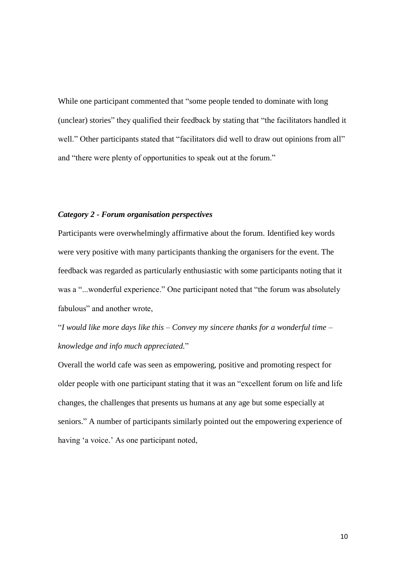While one participant commented that "some people tended to dominate with long (unclear) stories" they qualified their feedback by stating that "the facilitators handled it well." Other participants stated that "facilitators did well to draw out opinions from all" and "there were plenty of opportunities to speak out at the forum."

## *Category 2 - Forum organisation perspectives*

Participants were overwhelmingly affirmative about the forum. Identified key words were very positive with many participants thanking the organisers for the event. The feedback was regarded as particularly enthusiastic with some participants noting that it was a "...wonderful experience." One participant noted that "the forum was absolutely fabulous" and another wrote,

"*I would like more days like this – Convey my sincere thanks for a wonderful time – knowledge and info much appreciated.*"

Overall the world cafe was seen as empowering, positive and promoting respect for older people with one participant stating that it was an "excellent forum on life and life changes, the challenges that presents us humans at any age but some especially at seniors." A number of participants similarly pointed out the empowering experience of having 'a voice.' As one participant noted,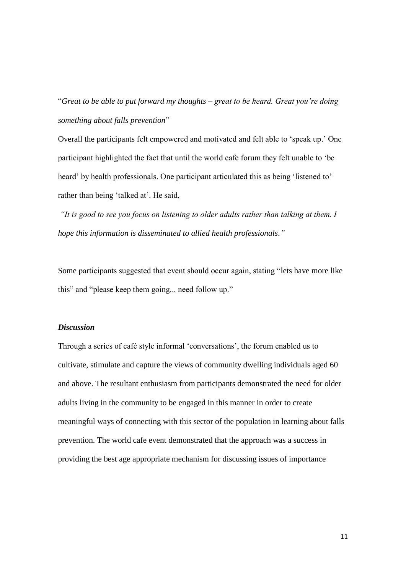"*Great to be able to put forward my thoughts – great to be heard. Great you're doing something about falls prevention*"

Overall the participants felt empowered and motivated and felt able to 'speak up.' One participant highlighted the fact that until the world cafe forum they felt unable to 'be heard' by health professionals. One participant articulated this as being 'listened to' rather than being 'talked at'. He said,

*"It is good to see you focus on listening to older adults rather than talking at them. I hope this information is disseminated to allied health professionals."*

Some participants suggested that event should occur again, stating "lets have more like this" and "please keep them going... need follow up."

## *Discussion*

Through a series of café style informal 'conversations', the forum enabled us to cultivate, stimulate and capture the views of community dwelling individuals aged 60 and above. The resultant enthusiasm from participants demonstrated the need for older adults living in the community to be engaged in this manner in order to create meaningful ways of connecting with this sector of the population in learning about falls prevention. The world cafe event demonstrated that the approach was a success in providing the best age appropriate mechanism for discussing issues of importance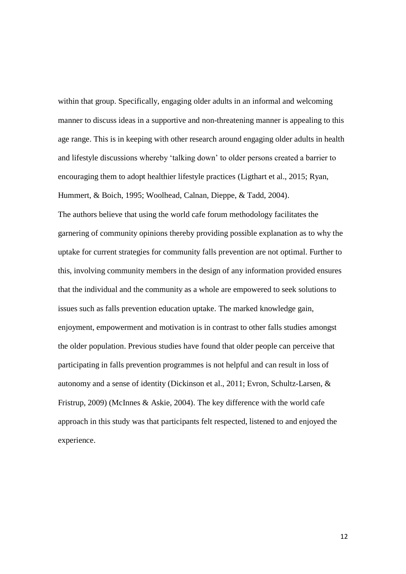within that group. Specifically, engaging older adults in an informal and welcoming manner to discuss ideas in a supportive and non-threatening manner is appealing to this age range. This is in keeping with other research around engaging older adults in health and lifestyle discussions whereby 'talking down' to older persons created a barrier to encouraging them to adopt healthier lifestyle practices (Ligthart et al., 2015; Ryan, Hummert, & Boich, 1995; Woolhead, Calnan, Dieppe, & Tadd, 2004).

The authors believe that using the world cafe forum methodology facilitates the garnering of community opinions thereby providing possible explanation as to why the uptake for current strategies for community falls prevention are not optimal. Further to this, involving community members in the design of any information provided ensures that the individual and the community as a whole are empowered to seek solutions to issues such as falls prevention education uptake. The marked knowledge gain, enjoyment, empowerment and motivation is in contrast to other falls studies amongst the older population. Previous studies have found that older people can perceive that participating in falls prevention programmes is not helpful and can result in loss of autonomy and a sense of identity (Dickinson et al., 2011; Evron, Schultz-Larsen, & Fristrup, 2009) (McInnes & Askie, 2004). The key difference with the world cafe approach in this study was that participants felt respected, listened to and enjoyed the experience.

12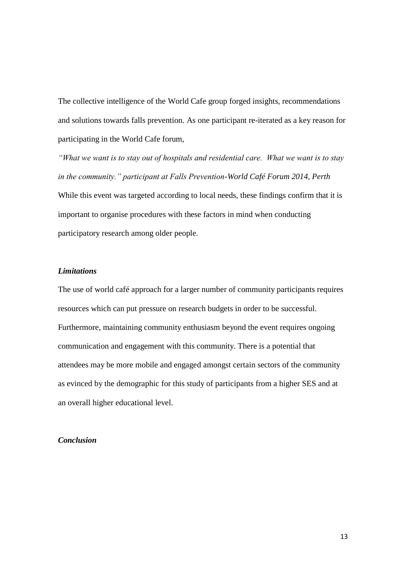The collective intelligence of the World Cafe group forged insights, recommendations and solutions towards falls prevention. As one participant re-iterated as a key reason for participating in the World Cafe forum,

*"What we want is to stay out of hospitals and residential care. What we want is to stay in the community." participant at Falls Prevention-World Café Forum 2014, Perth* While this event was targeted according to local needs, these findings confirm that it is important to organise procedures with these factors in mind when conducting participatory research among older people.

#### *Limitations*

The use of world café approach for a larger number of community participants requires resources which can put pressure on research budgets in order to be successful. Furthermore, maintaining community enthusiasm beyond the event requires ongoing communication and engagement with this community. There is a potential that attendees may be more mobile and engaged amongst certain sectors of the community as evinced by the demographic for this study of participants from a higher SES and at an overall higher educational level.

## *Conclusion*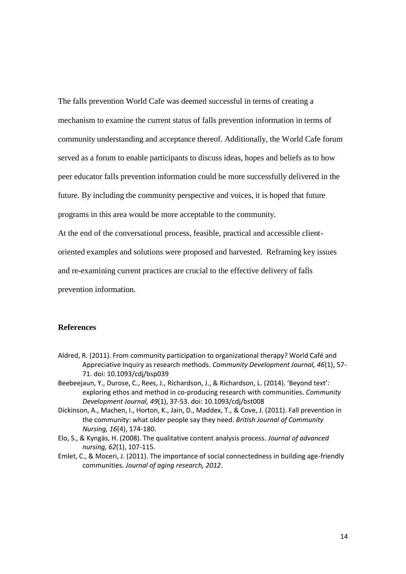The falls prevention World Cafe was deemed successful in terms of creating a mechanism to examine the current status of falls prevention information in terms of community understanding and acceptance thereof. Additionally, the World Cafe forum served as a forum to enable participants to discuss ideas, hopes and beliefs as to how peer educator falls prevention information could be more successfully delivered in the future. By including the community perspective and voices, it is hoped that future programs in this area would be more acceptable to the community. At the end of the conversational process, feasible, practical and accessible client-

oriented examples and solutions were proposed and harvested. Reframing key issues

and re-examining current practices are crucial to the effective delivery of falls

prevention information.

#### **References**

- Aldred, R. (2011). From community participation to organizational therapy? World Café and Appreciative Inquiry as research methods. *Community Development Journal, 46*(1), 57- 71. doi: 10.1093/cdj/bsp039
- Beebeejaun, Y., Durose, C., Rees, J., Richardson, J., & Richardson, L. (2014). 'Beyond text': exploring ethos and method in co-producing research with communities. *Community Development Journal, 49*(1), 37-53. doi: 10.1093/cdj/bst008
- Dickinson, A., Machen, I., Horton, K., Jain, D., Maddex, T., & Cove, J. (2011). Fall prevention in the community: what older people say they need. *British Journal of Community Nursing, 16*(4), 174-180.
- Elo, S., & Kyngäs, H. (2008). The qualitative content analysis process. *Journal of advanced nursing, 62*(1), 107-115.
- Emlet, C., & Moceri, J. (2011). The importance of social connectedness in building age-friendly communities. *Journal of aging research, 2012*.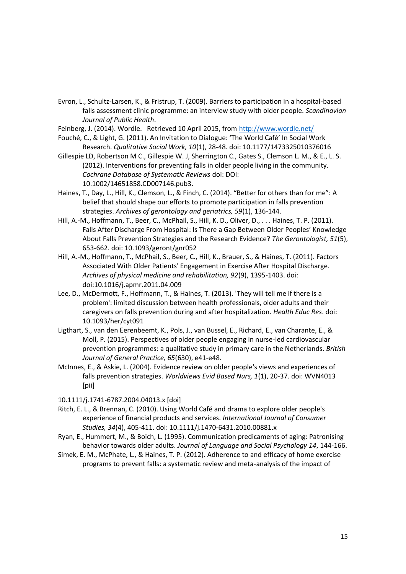- Evron, L., Schultz-Larsen, K., & Fristrup, T. (2009). Barriers to participation in a hospital-based falls assessment clinic programme: an interview study with older people. *Scandinavian Journal of Public Health*.
- Feinberg, J. (2014). Wordle. Retrieved 10 April 2015, from<http://www.wordle.net/>
- Fouché, C., & Light, G. (2011). An Invitation to Dialogue: 'The World Café' In Social Work Research. *Qualitative Social Work, 10*(1), 28-48. doi: 10.1177/1473325010376016
- Gillespie LD, Robertson M C., Gillespie W. J, Sherrington C., Gates S., Clemson L. M., & E., L. S. (2012). Interventions for preventing falls in older people living in the community. *Cochrane Database of Systematic Reviews* doi: DOI: 10.1002/14651858.CD007146.pub3.
- Haines, T., Day, L., Hill, K., Clemson, L., & Finch, C. (2014). "Better for others than for me": A belief that should shape our efforts to promote participation in falls prevention strategies. *Archives of gerontology and geriatrics, 59*(1), 136-144.
- Hill, A.-M., Hoffmann, T., Beer, C., McPhail, S., Hill, K. D., Oliver, D., . . . Haines, T. P. (2011). Falls After Discharge From Hospital: Is There a Gap Between Older Peoples' Knowledge About Falls Prevention Strategies and the Research Evidence? *The Gerontologist, 51*(5), 653-662. doi: 10.1093/geront/gnr052
- Hill, A.-M., Hoffmann, T., McPhail, S., Beer, C., Hill, K., Brauer, S., & Haines, T. (2011). Factors Associated With Older Patients' Engagement in Exercise After Hospital Discharge. *Archives of physical medicine and rehabilitation, 92*(9), 1395-1403. doi: doi:10.1016/j.apmr.2011.04.009
- Lee, D., McDermott, F., Hoffmann, T., & Haines, T. (2013). 'They will tell me if there is a problem': limited discussion between health professionals, older adults and their caregivers on falls prevention during and after hospitalization. *Health Educ Res*. doi: 10.1093/her/cyt091
- Ligthart, S., van den Eerenbeemt, K., Pols, J., van Bussel, E., Richard, E., van Charante, E., & Moll, P. (2015). Perspectives of older people engaging in nurse-led cardiovascular prevention programmes: a qualitative study in primary care in the Netherlands. *British Journal of General Practice, 65*(630), e41-e48.
- McInnes, E., & Askie, L. (2004). Evidence review on older people's views and experiences of falls prevention strategies. *Worldviews Evid Based Nurs, 1*(1), 20-37. doi: WVN4013 [pii]

10.1111/j.1741-6787.2004.04013.x [doi]

- Ritch, E. L., & Brennan, C. (2010). Using World Café and drama to explore older people's experience of financial products and services. *International Journal of Consumer Studies, 34*(4), 405-411. doi: 10.1111/j.1470-6431.2010.00881.x
- Ryan, E., Hummert, M., & Boich, L. (1995). Communication predicaments of aging: Patronising behavior towards older adults. *Journal of Language and Social Psychology 14*, 144-166.
- Simek, E. M., McPhate, L., & Haines, T. P. (2012). Adherence to and efficacy of home exercise programs to prevent falls: a systematic review and meta-analysis of the impact of